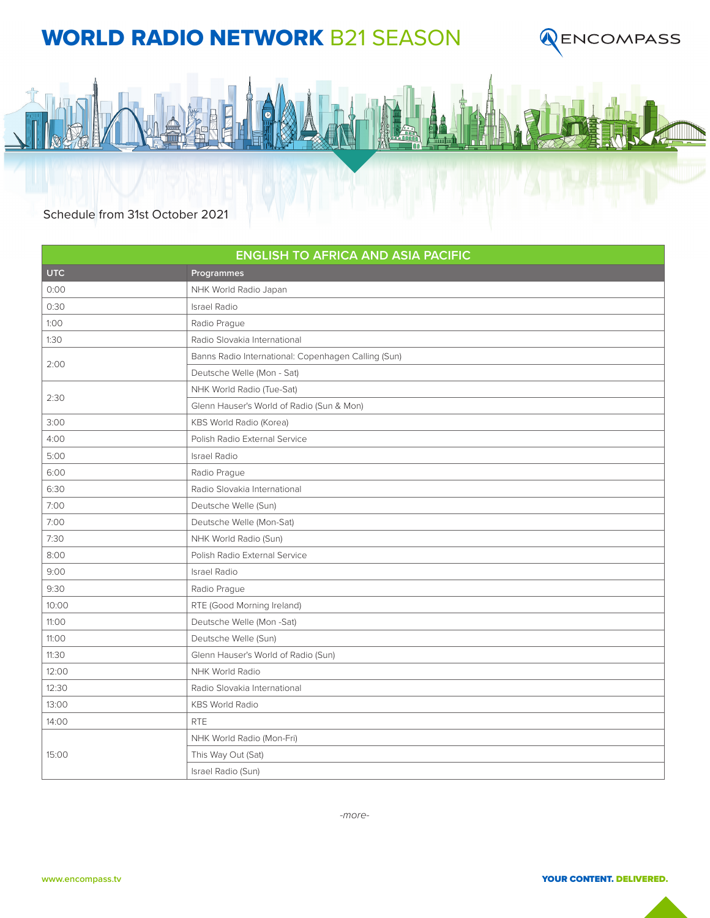## WORLD RADIO NETWORK B21 SEASON





Schedule from 31st October 2021

| <b>ENGLISH TO AFRICA AND ASIA PACIFIC</b> |                                                     |
|-------------------------------------------|-----------------------------------------------------|
| <b>UTC</b>                                | Programmes                                          |
| 0:00                                      | NHK World Radio Japan                               |
| 0:30                                      | <b>Israel Radio</b>                                 |
| 1:00                                      | Radio Prague                                        |
| 1:30                                      | Radio Slovakia International                        |
| 2:00                                      | Banns Radio International: Copenhagen Calling (Sun) |
|                                           | Deutsche Welle (Mon - Sat)                          |
| 2:30                                      | NHK World Radio (Tue-Sat)                           |
|                                           | Glenn Hauser's World of Radio (Sun & Mon)           |
| 3:00                                      | <b>KBS World Radio (Korea)</b>                      |
| 4:00                                      | Polish Radio External Service                       |
| 5:00                                      | <b>Israel Radio</b>                                 |
| 6:00                                      | Radio Prague                                        |
| 6:30                                      | Radio Slovakia International                        |
| 7:00                                      | Deutsche Welle (Sun)                                |
| 7:00                                      | Deutsche Welle (Mon-Sat)                            |
| 7:30                                      | NHK World Radio (Sun)                               |
| 8:00                                      | Polish Radio External Service                       |
| 9:00                                      | <b>Israel Radio</b>                                 |
| 9:30                                      | Radio Prague                                        |
| 10:00                                     | RTE (Good Morning Ireland)                          |
| 11:00                                     | Deutsche Welle (Mon-Sat)                            |
| 11:00                                     | Deutsche Welle (Sun)                                |
| 11:30                                     | Glenn Hauser's World of Radio (Sun)                 |
| 12:00                                     | NHK World Radio                                     |
| 12:30                                     | Radio Slovakia International                        |
| 13:00                                     | <b>KBS World Radio</b>                              |
| 14:00                                     | <b>RTE</b>                                          |
| 15:00                                     | NHK World Radio (Mon-Fri)                           |
|                                           | This Way Out (Sat)                                  |
|                                           | Israel Radio (Sun)                                  |

*-more-*